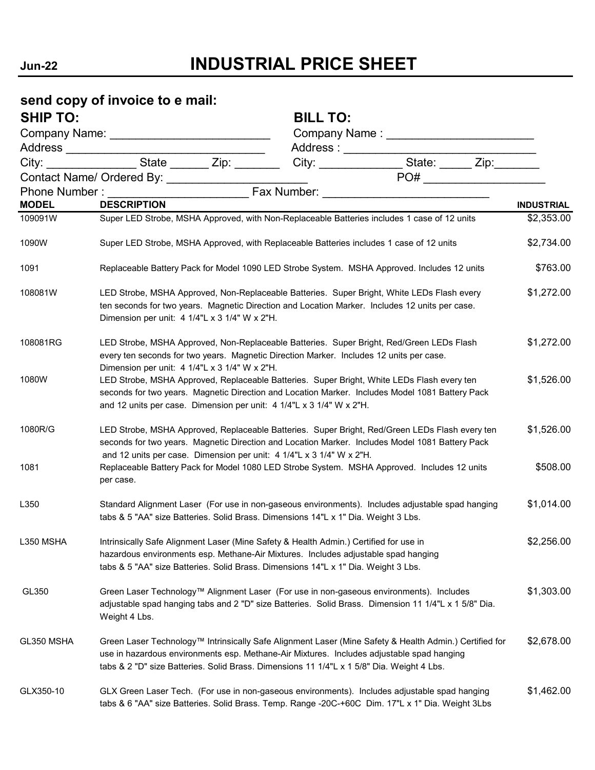## **Jun-22 INDUSTRIAL PRICE SHEET**

## **send copy of invoice to e mail:** SHIP TO:

|              | City: ____________________State _________ Zip: _________ |                                                                                                                                                                                                                                                                                                  |                               |                   |
|--------------|----------------------------------------------------------|--------------------------------------------------------------------------------------------------------------------------------------------------------------------------------------------------------------------------------------------------------------------------------------------------|-------------------------------|-------------------|
|              |                                                          |                                                                                                                                                                                                                                                                                                  | PO# _________________________ |                   |
|              |                                                          |                                                                                                                                                                                                                                                                                                  |                               |                   |
| <b>MODEL</b> | <b>DESCRIPTION</b>                                       |                                                                                                                                                                                                                                                                                                  |                               | <b>INDUSTRIAL</b> |
| 109091W      |                                                          | Super LED Strobe, MSHA Approved, with Non-Replaceable Batteries includes 1 case of 12 units                                                                                                                                                                                                      |                               | \$2,353.00        |
| 1090W        |                                                          | Super LED Strobe, MSHA Approved, with Replaceable Batteries includes 1 case of 12 units                                                                                                                                                                                                          |                               | \$2,734.00        |
| 1091         |                                                          | Replaceable Battery Pack for Model 1090 LED Strobe System. MSHA Approved. Includes 12 units                                                                                                                                                                                                      |                               | \$763.00          |
| 108081W      | Dimension per unit: 4 1/4"L x 3 1/4" W x 2"H.            | LED Strobe, MSHA Approved, Non-Replaceable Batteries. Super Bright, White LEDs Flash every<br>ten seconds for two years. Magnetic Direction and Location Marker. Includes 12 units per case.                                                                                                     |                               | \$1,272.00        |
| 108081RG     | Dimension per unit: 4 1/4"L x 3 1/4" W x 2"H.            | LED Strobe, MSHA Approved, Non-Replaceable Batteries. Super Bright, Red/Green LEDs Flash<br>every ten seconds for two years. Magnetic Direction Marker. Includes 12 units per case.                                                                                                              |                               | \$1,272.00        |
| 1080W        |                                                          | LED Strobe, MSHA Approved, Replaceable Batteries. Super Bright, White LEDs Flash every ten<br>seconds for two years. Magnetic Direction and Location Marker. Includes Model 1081 Battery Pack<br>and 12 units per case. Dimension per unit: 4 1/4"L x 3 1/4" W x 2"H.                            |                               | \$1,526.00        |
| 1080R/G      |                                                          | LED Strobe, MSHA Approved, Replaceable Batteries. Super Bright, Red/Green LEDs Flash every ten<br>seconds for two years. Magnetic Direction and Location Marker. Includes Model 1081 Battery Pack<br>and 12 units per case. Dimension per unit: 4 1/4"L x 3 1/4" W x 2"H.                        |                               | \$1,526.00        |
| 1081         | per case.                                                | Replaceable Battery Pack for Model 1080 LED Strobe System. MSHA Approved. Includes 12 units                                                                                                                                                                                                      |                               | \$508.00          |
| L350         |                                                          | Standard Alignment Laser (For use in non-gaseous environments). Includes adjustable spad hanging<br>tabs & 5 "AA" size Batteries. Solid Brass. Dimensions 14"L x 1" Dia. Weight 3 Lbs.                                                                                                           |                               | \$1,014.00        |
| L350 MSHA    |                                                          | Intrinsically Safe Alignment Laser (Mine Safety & Health Admin.) Certified for use in<br>hazardous environments esp. Methane-Air Mixtures. Includes adjustable spad hanging<br>tabs & 5 "AA" size Batteries. Solid Brass. Dimensions 14"L x 1" Dia. Weight 3 Lbs.                                |                               | \$2,256.00        |
| GL350        | Weight 4 Lbs.                                            | Green Laser Technology™ Alignment Laser (For use in non-gaseous environments). Includes<br>adjustable spad hanging tabs and 2 "D" size Batteries. Solid Brass. Dimension 11 1/4"L x 1 5/8" Dia.                                                                                                  |                               | \$1,303.00        |
| GL350 MSHA   |                                                          | Green Laser Technology™ Intrinsically Safe Alignment Laser (Mine Safety & Health Admin.) Certified for<br>use in hazardous environments esp. Methane-Air Mixtures. Includes adjustable spad hanging<br>tabs & 2 "D" size Batteries. Solid Brass. Dimensions 11 1/4"L x 1 5/8" Dia. Weight 4 Lbs. |                               | \$2,678.00        |
| GLX350-10    |                                                          | GLX Green Laser Tech. (For use in non-gaseous environments). Includes adjustable spad hanging<br>tabs & 6 "AA" size Batteries. Solid Brass. Temp. Range -20C-+60C Dim. 17"L x 1" Dia. Weight 3Lbs                                                                                                |                               | \$1,462.00        |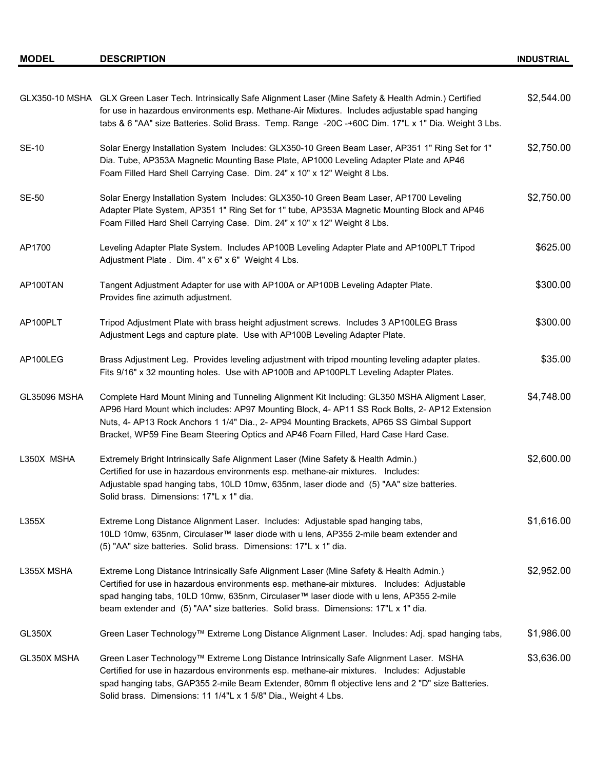|                     | GLX350-10 MSHA GLX Green Laser Tech. Intrinsically Safe Alignment Laser (Mine Safety & Health Admin.) Certified<br>for use in hazardous environments esp. Methane-Air Mixtures. Includes adjustable spad hanging<br>tabs & 6 "AA" size Batteries. Solid Brass. Temp. Range -20C -+60C Dim. 17"L x 1" Dia. Weight 3 Lbs.                                                          | \$2,544.00 |
|---------------------|----------------------------------------------------------------------------------------------------------------------------------------------------------------------------------------------------------------------------------------------------------------------------------------------------------------------------------------------------------------------------------|------------|
| <b>SE-10</b>        | "Solar Energy Installation System Includes: GLX350-10 Green Beam Laser, AP351 1" Ring Set for 1<br>Dia. Tube, AP353A Magnetic Mounting Base Plate, AP1000 Leveling Adapter Plate and AP46<br>Foam Filled Hard Shell Carrying Case. Dim. 24" x 10" x 12" Weight 8 Lbs.                                                                                                            | \$2,750.00 |
| <b>SE-50</b>        | Solar Energy Installation System Includes: GLX350-10 Green Beam Laser, AP1700 Leveling<br>Adapter Plate System, AP351 1" Ring Set for 1" tube, AP353A Magnetic Mounting Block and AP46<br>Foam Filled Hard Shell Carrying Case. Dim. 24" x 10" x 12" Weight 8 Lbs.                                                                                                               | \$2,750.00 |
| AP1700              | Leveling Adapter Plate System. Includes AP100B Leveling Adapter Plate and AP100PLT Tripod<br>Adjustment Plate . Dim. 4" x 6" x 6" Weight 4 Lbs.                                                                                                                                                                                                                                  | \$625.00   |
| AP100TAN            | Tangent Adjustment Adapter for use with AP100A or AP100B Leveling Adapter Plate.<br>Provides fine azimuth adjustment.                                                                                                                                                                                                                                                            | \$300.00   |
| AP100PLT            | Tripod Adjustment Plate with brass height adjustment screws. Includes 3 AP100LEG Brass<br>Adjustment Legs and capture plate. Use with AP100B Leveling Adapter Plate.                                                                                                                                                                                                             | \$300.00   |
| AP100LEG            | Brass Adjustment Leg. Provides leveling adjustment with tripod mounting leveling adapter plates.<br>Fits 9/16" x 32 mounting holes. Use with AP100B and AP100PLT Leveling Adapter Plates.                                                                                                                                                                                        | \$35.00    |
| <b>GL35096 MSHA</b> | Complete Hard Mount Mining and Tunneling Alignment Kit Including: GL350 MSHA Aligment Laser,<br>AP96 Hard Mount which includes: AP97 Mounting Block, 4- AP11 SS Rock Bolts, 2- AP12 Extension<br>Nuts, 4- AP13 Rock Anchors 1 1/4" Dia., 2- AP94 Mounting Brackets, AP65 SS Gimbal Support<br>Bracket, WP59 Fine Beam Steering Optics and AP46 Foam Filled, Hard Case Hard Case. | \$4,748.00 |
| L350X MSHA          | Extremely Bright Intrinsically Safe Alignment Laser (Mine Safety & Health Admin.)<br>Certified for use in hazardous environments esp. methane-air mixtures. Includes:<br>Adjustable spad hanging tabs, 10LD 10mw, 635nm, laser diode and (5) "AA" size batteries.<br>Solid brass. Dimensions: 17"L x 1" dia.                                                                     | \$2,600.00 |
| L355X               | Extreme Long Distance Alignment Laser. Includes: Adjustable spad hanging tabs,<br>10LD 10mw, 635nm, Circulaser™ laser diode with u lens, AP355 2-mile beam extender and<br>(5) "AA" size batteries. Solid brass. Dimensions: 17"L x 1" dia.                                                                                                                                      | \$1,616.00 |
| L355X MSHA          | Extreme Long Distance Intrinsically Safe Alignment Laser (Mine Safety & Health Admin.)<br>Certified for use in hazardous environments esp. methane-air mixtures. Includes: Adjustable<br>spad hanging tabs, 10LD 10mw, 635nm, Circulaser™ laser diode with u lens, AP355 2-mile<br>beam extender and (5) "AA" size batteries. Solid brass. Dimensions: 17"L x 1" dia.            | \$2,952.00 |
| GL350X              | Green Laser Technology™ Extreme Long Distance Alignment Laser. Includes: Adj. spad hanging tabs,                                                                                                                                                                                                                                                                                 | \$1,986.00 |
| GL350X MSHA         | Green Laser Technology™ Extreme Long Distance Intrinsically Safe Alignment Laser. MSHA<br>Certified for use in hazardous environments esp. methane-air mixtures. Includes: Adjustable<br>spad hanging tabs, GAP355 2-mile Beam Extender, 80mm fl objective lens and 2 "D" size Batteries.<br>Solid brass. Dimensions: 11 1/4"L x 1 5/8" Dia., Weight 4 Lbs.                      | \$3,636.00 |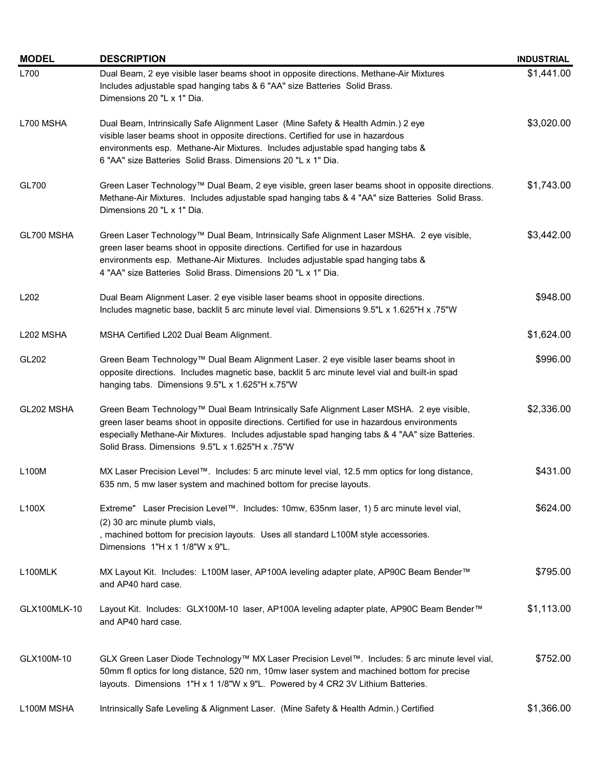| <b>MODEL</b>     | <b>DESCRIPTION</b>                                                                                                                                                                                                                                                                                                                            | <b>INDUSTRIAL</b> |
|------------------|-----------------------------------------------------------------------------------------------------------------------------------------------------------------------------------------------------------------------------------------------------------------------------------------------------------------------------------------------|-------------------|
| L700             | Dual Beam, 2 eye visible laser beams shoot in opposite directions. Methane-Air Mixtures<br>Includes adjustable spad hanging tabs & 6 "AA" size Batteries Solid Brass.<br>Dimensions 20 "L x 1" Dia.                                                                                                                                           | \$1,441.00        |
| L700 MSHA        | Dual Beam, Intrinsically Safe Alignment Laser (Mine Safety & Health Admin.) 2 eye<br>visible laser beams shoot in opposite directions. Certified for use in hazardous<br>environments esp. Methane-Air Mixtures. Includes adjustable spad hanging tabs &<br>6 "AA" size Batteries Solid Brass. Dimensions 20 "L x 1" Dia.                     | \$3,020.00        |
| GL700            | Green Laser Technology™ Dual Beam, 2 eye visible, green laser beams shoot in opposite directions.<br>Methane-Air Mixtures. Includes adjustable spad hanging tabs & 4 "AA" size Batteries Solid Brass.<br>Dimensions 20 "L x 1" Dia.                                                                                                           | \$1,743.00        |
| GL700 MSHA       | Green Laser Technology™ Dual Beam, Intrinsically Safe Alignment Laser MSHA. 2 eye visible,<br>green laser beams shoot in opposite directions. Certified for use in hazardous<br>environments esp. Methane-Air Mixtures. Includes adjustable spad hanging tabs &<br>4 "AA" size Batteries Solid Brass. Dimensions 20 "L x 1" Dia.              | \$3,442.00        |
| L <sub>202</sub> | Dual Beam Alignment Laser. 2 eye visible laser beams shoot in opposite directions.<br>Includes magnetic base, backlit 5 arc minute level vial. Dimensions 9.5"L x 1.625"H x .75"W                                                                                                                                                             | \$948.00          |
| L202 MSHA        | MSHA Certified L202 Dual Beam Alignment.                                                                                                                                                                                                                                                                                                      | \$1,624.00        |
| GL202            | Green Beam Technology™ Dual Beam Alignment Laser. 2 eye visible laser beams shoot in<br>opposite directions. Includes magnetic base, backlit 5 arc minute level vial and built-in spad<br>hanging tabs. Dimensions 9.5"L x 1.625"H x.75"W                                                                                                     | \$996.00          |
| GL202 MSHA       | Green Beam Technology™ Dual Beam Intrinsically Safe Alignment Laser MSHA. 2 eye visible,<br>green laser beams shoot in opposite directions. Certified for use in hazardous environments<br>especially Methane-Air Mixtures. Includes adjustable spad hanging tabs & 4 "AA" size Batteries.<br>Solid Brass. Dimensions 9.5"L x 1.625"H x .75"W | \$2,336.00        |
| L100M            | MX Laser Precision Level™. Includes: 5 arc minute level vial, 12.5 mm optics for long distance,<br>635 nm, 5 mw laser system and machined bottom for precise layouts.                                                                                                                                                                         | \$431.00          |
| L100X            | Extreme" Laser Precision Level™. Includes: 10mw, 635nm laser, 1) 5 arc minute level vial,<br>(2) 30 arc minute plumb vials,<br>, machined bottom for precision layouts. Uses all standard L100M style accessories.<br>Dimensions 1"H x 1 1/8"W x 9"L.                                                                                         | \$624.00          |
| L100MLK          | MX Layout Kit. Includes: L100M laser, AP100A leveling adapter plate, AP90C Beam Bender™<br>and AP40 hard case.                                                                                                                                                                                                                                | \$795.00          |
| GLX100MLK-10     | Layout Kit. Includes: GLX100M-10 laser, AP100A leveling adapter plate, AP90C Beam Bender™<br>and AP40 hard case.                                                                                                                                                                                                                              | \$1,113.00        |
| GLX100M-10       | GLX Green Laser Diode Technology™ MX Laser Precision Level™. Includes: 5 arc minute level vial,<br>50mm fl optics for long distance, 520 nm, 10mw laser system and machined bottom for precise<br>layouts. Dimensions 1"H x 1 1/8"W x 9"L. Powered by 4 CR2 3V Lithium Batteries.                                                             | \$752.00          |
| L100M MSHA       | Intrinsically Safe Leveling & Alignment Laser. (Mine Safety & Health Admin.) Certified                                                                                                                                                                                                                                                        | \$1,366.00        |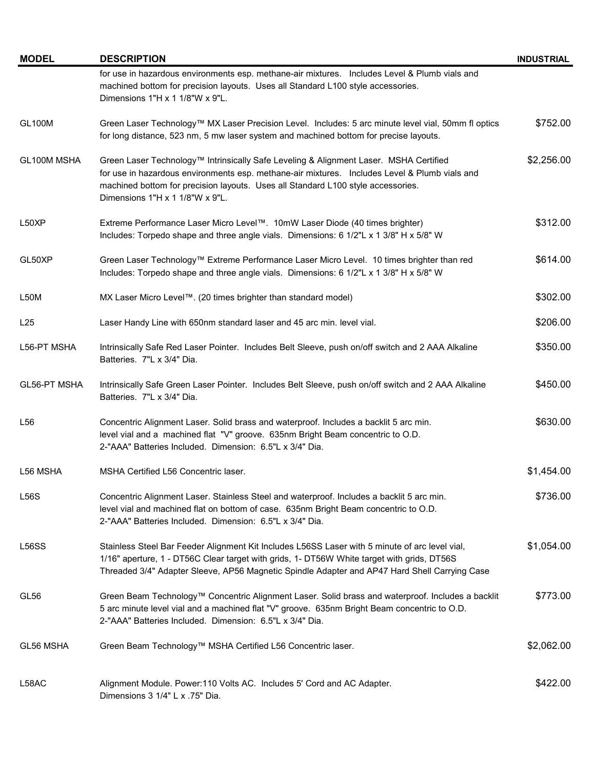| <b>MODEL</b>       | <b>DESCRIPTION</b>                                                                                                                                                                                                                                                                                            | <b>INDUSTRIAL</b> |
|--------------------|---------------------------------------------------------------------------------------------------------------------------------------------------------------------------------------------------------------------------------------------------------------------------------------------------------------|-------------------|
|                    | for use in hazardous environments esp. methane-air mixtures. Includes Level & Plumb vials and<br>machined bottom for precision layouts. Uses all Standard L100 style accessories.<br>Dimensions 1"H x 1 1/8"W x 9"L.                                                                                          |                   |
| <b>GL100M</b>      | Green Laser Technology™ MX Laser Precision Level. Includes: 5 arc minute level vial, 50mm fl optics<br>for long distance, 523 nm, 5 mw laser system and machined bottom for precise layouts.                                                                                                                  | \$752.00          |
| GL100M MSHA        | Green Laser Technology™ Intrinsically Safe Leveling & Alignment Laser. MSHA Certified<br>for use in hazardous environments esp. methane-air mixtures. Includes Level & Plumb vials and<br>machined bottom for precision layouts. Uses all Standard L100 style accessories.<br>Dimensions 1"H x 1 1/8"W x 9"L. | \$2,256.00        |
| L50XP              | Extreme Performance Laser Micro Level™. 10mW Laser Diode (40 times brighter)<br>Includes: Torpedo shape and three angle vials. Dimensions: 6 1/2"L x 1 3/8" H x 5/8" W                                                                                                                                        | \$312.00          |
| GL50XP             | Green Laser Technology™ Extreme Performance Laser Micro Level. 10 times brighter than red<br>Includes: Torpedo shape and three angle vials. Dimensions: 6 1/2"L x 1 3/8" H x 5/8" W                                                                                                                           | \$614.00          |
| L50M               | MX Laser Micro Level™. (20 times brighter than standard model)                                                                                                                                                                                                                                                | \$302.00          |
| L25                | Laser Handy Line with 650nm standard laser and 45 arc min. level vial.                                                                                                                                                                                                                                        | \$206.00          |
| L56-PT MSHA        | Intrinsically Safe Red Laser Pointer. Includes Belt Sleeve, push on/off switch and 2 AAA Alkaline<br>Batteries. 7"L x 3/4" Dia.                                                                                                                                                                               | \$350.00          |
| GL56-PT MSHA       | Intrinsically Safe Green Laser Pointer. Includes Belt Sleeve, push on/off switch and 2 AAA Alkaline<br>Batteries. 7"L x 3/4" Dia.                                                                                                                                                                             | \$450.00          |
| L <sub>56</sub>    | Concentric Alignment Laser. Solid brass and waterproof. Includes a backlit 5 arc min.<br>level vial and a machined flat "V" groove. 635nm Bright Beam concentric to O.D.<br>2-"AAA" Batteries Included. Dimension: 6.5"L x 3/4" Dia.                                                                          | \$630.00          |
| L56 MSHA           | MSHA Certified L56 Concentric laser.                                                                                                                                                                                                                                                                          | \$1,454.00        |
| L56S               | Concentric Alignment Laser. Stainless Steel and waterproof. Includes a backlit 5 arc min.<br>level vial and machined flat on bottom of case. 635nm Bright Beam concentric to O.D.<br>2-"AAA" Batteries Included. Dimension: 6.5"L x 3/4" Dia.                                                                 | \$736.00          |
| L <sub>56</sub> SS | Stainless Steel Bar Feeder Alignment Kit Includes L56SS Laser with 5 minute of arc level vial,<br>1/16" aperture, 1 - DT56C Clear target with grids, 1- DT56W White target with grids, DT56S<br>Threaded 3/4" Adapter Sleeve, AP56 Magnetic Spindle Adapter and AP47 Hard Shell Carrying Case                 | \$1,054.00        |
| GL <sub>56</sub>   | Green Beam Technology™ Concentric Alignment Laser. Solid brass and waterproof. Includes a backlit<br>5 arc minute level vial and a machined flat "V" groove. 635nm Bright Beam concentric to O.D.<br>2-"AAA" Batteries Included. Dimension: 6.5"L x 3/4" Dia.                                                 | \$773.00          |
| GL56 MSHA          | Green Beam Technology™ MSHA Certified L56 Concentric laser.                                                                                                                                                                                                                                                   | \$2,062.00        |
| L58AC              | Alignment Module. Power:110 Volts AC. Includes 5' Cord and AC Adapter.<br>Dimensions 3 1/4" L x .75" Dia.                                                                                                                                                                                                     | \$422.00          |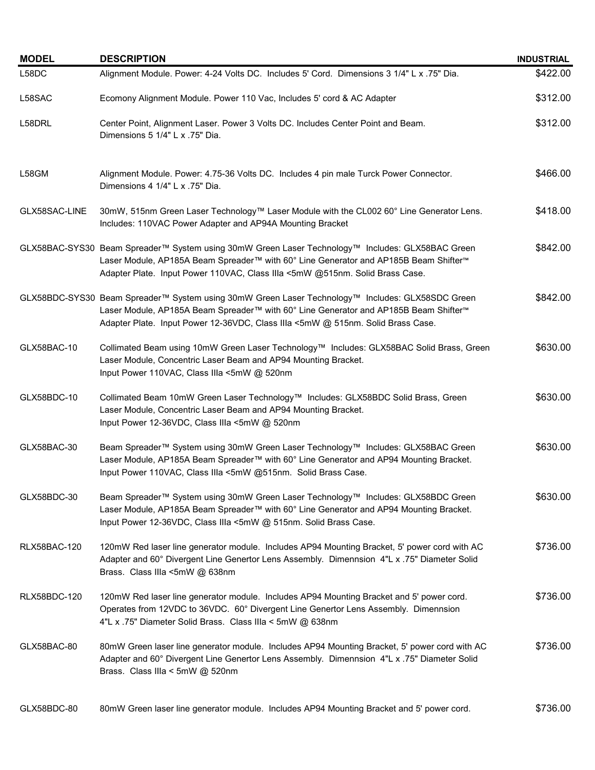| <b>MODEL</b>        | <b>DESCRIPTION</b>                                                                                                                                                                                                                                                          | <b>INDUSTRIAL</b> |
|---------------------|-----------------------------------------------------------------------------------------------------------------------------------------------------------------------------------------------------------------------------------------------------------------------------|-------------------|
| L58DC               | Alignment Module. Power: 4-24 Volts DC. Includes 5' Cord. Dimensions 3 1/4" L x .75" Dia.                                                                                                                                                                                   | \$422.00          |
| L58SAC              | Ecomony Alignment Module. Power 110 Vac, Includes 5' cord & AC Adapter                                                                                                                                                                                                      | \$312.00          |
| L58DRL              | Center Point, Alignment Laser. Power 3 Volts DC. Includes Center Point and Beam.<br>Dimensions 5 1/4" L x .75" Dia.                                                                                                                                                         | \$312.00          |
| L58GM               | Alignment Module. Power: 4.75-36 Volts DC. Includes 4 pin male Turck Power Connector.<br>Dimensions 4 1/4" L x .75" Dia.                                                                                                                                                    | \$466.00          |
| GLX58SAC-LINE       | 30mW, 515nm Green Laser Technology™ Laser Module with the CL002 60° Line Generator Lens.<br>Includes: 110VAC Power Adapter and AP94A Mounting Bracket                                                                                                                       | \$418.00          |
|                     | GLX58BAC-SYS30 Beam Spreader™ System using 30mW Green Laser Technology™ Includes: GLX58BAC Green<br>Laser Module, AP185A Beam Spreader™ with 60° Line Generator and AP185B Beam Shifter™<br>Adapter Plate. Input Power 110VAC, Class IIIa <5mW @515nm. Solid Brass Case.    | \$842.00          |
|                     | GLX58BDC-SYS30 Beam Spreader™ System using 30mW Green Laser Technology™ Includes: GLX58SDC Green<br>Laser Module, AP185A Beam Spreader™ with 60° Line Generator and AP185B Beam Shifter™<br>Adapter Plate. Input Power 12-36VDC, Class IIIa <5mW @ 515nm. Solid Brass Case. | \$842.00          |
| GLX58BAC-10         | Collimated Beam using 10mW Green Laser Technology™ Includes: GLX58BAC Solid Brass, Green<br>Laser Module, Concentric Laser Beam and AP94 Mounting Bracket.<br>Input Power 110VAC, Class IIIa <5mW @ 520nm                                                                   | \$630.00          |
| GLX58BDC-10         | Collimated Beam 10mW Green Laser Technology™ Includes: GLX58BDC Solid Brass, Green<br>Laser Module, Concentric Laser Beam and AP94 Mounting Bracket.<br>Input Power 12-36VDC, Class IIIa <5mW @ 520nm                                                                       | \$630.00          |
| GLX58BAC-30         | Beam Spreader™ System using 30mW Green Laser Technology™ Includes: GLX58BAC Green<br>Laser Module, AP185A Beam Spreader™ with 60° Line Generator and AP94 Mounting Bracket.<br>Input Power 110VAC, Class IIIa <5mW @515nm. Solid Brass Case.                                | \$630.00          |
| GLX58BDC-30         | Beam Spreader™ System using 30mW Green Laser Technology™ Includes: GLX58BDC Green<br>Laser Module, AP185A Beam Spreader™ with 60° Line Generator and AP94 Mounting Bracket.<br>Input Power 12-36VDC, Class IIIa <5mW @ 515nm. Solid Brass Case.                             | \$630.00          |
| <b>RLX58BAC-120</b> | 120mW Red laser line generator module. Includes AP94 Mounting Bracket, 5' power cord with AC<br>Adapter and 60° Divergent Line Genertor Lens Assembly. Dimennsion 4"L x .75" Diameter Solid<br>Brass. Class IIIa <5mW @ 638nm                                               | \$736.00          |
| <b>RLX58BDC-120</b> | 120mW Red laser line generator module. Includes AP94 Mounting Bracket and 5' power cord.<br>Operates from 12VDC to 36VDC. 60° Divergent Line Genertor Lens Assembly. Dimennsion<br>4"L x .75" Diameter Solid Brass. Class IIIa < 5mW @ 638nm                                | \$736.00          |
| GLX58BAC-80         | 80mW Green laser line generator module. Includes AP94 Mounting Bracket, 5' power cord with AC<br>Adapter and 60° Divergent Line Genertor Lens Assembly. Dimennsion 4"L x .75" Diameter Solid<br>Brass. Class IIIa < 5mW @ 520nm                                             | \$736.00          |
| GLX58BDC-80         | 80mW Green laser line generator module. Includes AP94 Mounting Bracket and 5' power cord.                                                                                                                                                                                   | \$736.00          |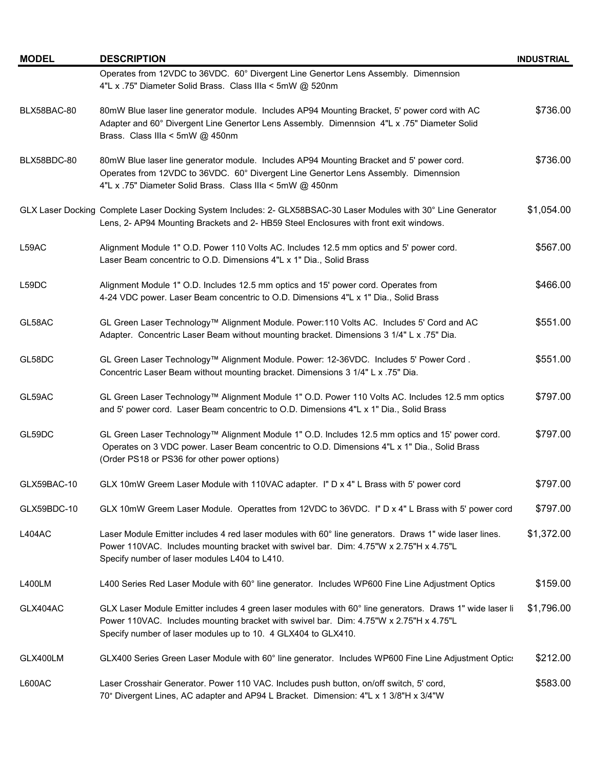| <b>MODEL</b>  | <b>DESCRIPTION</b>                                                                                                                                                                                                                                                  | <b>INDUSTRIAL</b> |
|---------------|---------------------------------------------------------------------------------------------------------------------------------------------------------------------------------------------------------------------------------------------------------------------|-------------------|
|               | Operates from 12VDC to 36VDC. 60° Divergent Line Genertor Lens Assembly. Dimennsion<br>4"L x .75" Diameter Solid Brass. Class IIIa < 5mW @ 520nm                                                                                                                    |                   |
| BLX58BAC-80   | 80mW Blue laser line generator module. Includes AP94 Mounting Bracket, 5' power cord with AC<br>Adapter and 60° Divergent Line Genertor Lens Assembly. Dimennsion 4"L x .75" Diameter Solid<br>Brass. Class IIIa < 5mW @ 450nm                                      | \$736.00          |
| BLX58BDC-80   | 80mW Blue laser line generator module. Includes AP94 Mounting Bracket and 5' power cord.<br>Operates from 12VDC to 36VDC. 60° Divergent Line Genertor Lens Assembly. Dimennsion<br>4"L x .75" Diameter Solid Brass. Class IIIa < 5mW @ 450nm                        | \$736.00          |
|               | GLX Laser Docking Complete Laser Docking System Includes: 2- GLX58BSAC-30 Laser Modules with 30° Line Generator<br>Lens, 2- AP94 Mounting Brackets and 2- HB59 Steel Enclosures with front exit windows.                                                            | \$1,054.00        |
| L59AC         | Alignment Module 1" O.D. Power 110 Volts AC. Includes 12.5 mm optics and 5' power cord.<br>Laser Beam concentric to O.D. Dimensions 4"L x 1" Dia., Solid Brass                                                                                                      | \$567.00          |
| L59DC         | Alignment Module 1" O.D. Includes 12.5 mm optics and 15' power cord. Operates from<br>4-24 VDC power. Laser Beam concentric to O.D. Dimensions 4"L x 1" Dia., Solid Brass                                                                                           | \$466.00          |
| GL58AC        | GL Green Laser Technology™ Alignment Module. Power:110 Volts AC. Includes 5' Cord and AC<br>Adapter. Concentric Laser Beam without mounting bracket. Dimensions 3 1/4" L x .75" Dia.                                                                                | \$551.00          |
| GL58DC        | GL Green Laser Technology™ Alignment Module. Power: 12-36VDC. Includes 5' Power Cord.<br>Concentric Laser Beam without mounting bracket. Dimensions 3 1/4" L x .75" Dia.                                                                                            | \$551.00          |
| GL59AC        | GL Green Laser Technology™ Alignment Module 1" O.D. Power 110 Volts AC. Includes 12.5 mm optics<br>and 5' power cord. Laser Beam concentric to O.D. Dimensions 4"L x 1" Dia., Solid Brass                                                                           | \$797.00          |
| GL59DC        | GL Green Laser Technology™ Alignment Module 1" O.D. Includes 12.5 mm optics and 15' power cord.<br>Operates on 3 VDC power. Laser Beam concentric to O.D. Dimensions 4"L x 1" Dia., Solid Brass<br>(Order PS18 or PS36 for other power options)                     | \$797.00          |
| GLX59BAC-10   | GLX 10mW Greem Laser Module with 110VAC adapter. I" D x 4" L Brass with 5' power cord                                                                                                                                                                               | \$797.00          |
| GLX59BDC-10   | GLX 10mW Greem Laser Module. Operattes from 12VDC to 36VDC. I" D x 4" L Brass with 5' power cord                                                                                                                                                                    | \$797.00          |
| <b>L404AC</b> | Laser Module Emitter includes 4 red laser modules with 60° line generators. Draws 1" wide laser lines.<br>Power 110VAC. Includes mounting bracket with swivel bar. Dim: 4.75"W x 2.75"H x 4.75"L<br>Specify number of laser modules L404 to L410.                   | \$1,372.00        |
| <b>L400LM</b> | L400 Series Red Laser Module with 60° line generator. Includes WP600 Fine Line Adjustment Optics                                                                                                                                                                    | \$159.00          |
| GLX404AC      | GLX Laser Module Emitter includes 4 green laser modules with 60° line generators. Draws 1" wide laser li<br>Power 110VAC. Includes mounting bracket with swivel bar. Dim: 4.75"W x 2.75"H x 4.75"L<br>Specify number of laser modules up to 10. 4 GLX404 to GLX410. | \$1,796.00        |
| GLX400LM      | GLX400 Series Green Laser Module with 60° line generator. Includes WP600 Fine Line Adjustment Optic:                                                                                                                                                                | \$212.00          |
| L600AC        | Laser Crosshair Generator. Power 110 VAC. Includes push button, on/off switch, 5' cord,<br>70° Divergent Lines, AC adapter and AP94 L Bracket. Dimension: 4"L x 1 3/8"H x 3/4"W                                                                                     | \$583.00          |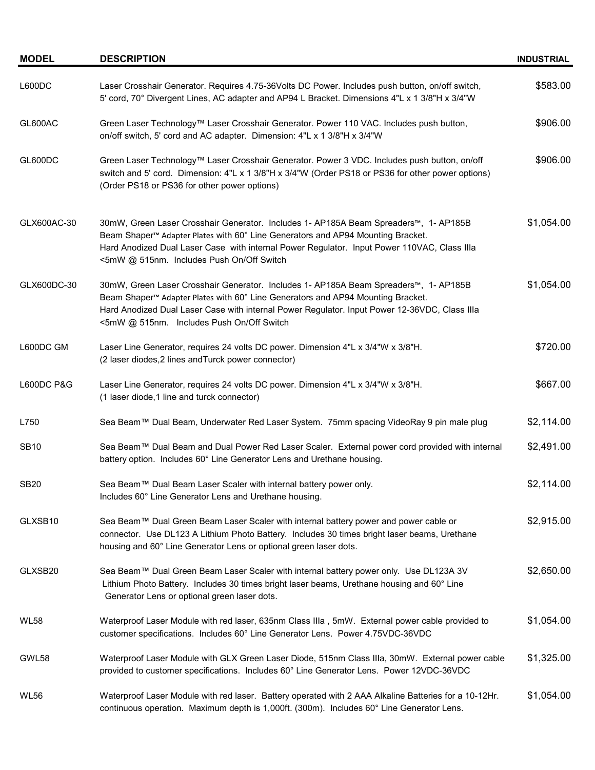| <b>MODEL</b>          | <b>DESCRIPTION</b>                                                                                                                                                                                                                                                                                                                | <b>INDUSTRIAL</b> |
|-----------------------|-----------------------------------------------------------------------------------------------------------------------------------------------------------------------------------------------------------------------------------------------------------------------------------------------------------------------------------|-------------------|
| L600DC                | Laser Crosshair Generator. Requires 4.75-36Volts DC Power. Includes push button, on/off switch,<br>5' cord, 70° Divergent Lines, AC adapter and AP94 L Bracket. Dimensions 4"L x 1 3/8"H x 3/4"W                                                                                                                                  | \$583.00          |
| GL600AC               | Green Laser Technology™ Laser Crosshair Generator. Power 110 VAC. Includes push button,<br>on/off switch, 5' cord and AC adapter. Dimension: 4"L x 1 3/8"H x 3/4"W                                                                                                                                                                | \$906.00          |
| GL600DC               | Green Laser Technology™ Laser Crosshair Generator. Power 3 VDC. Includes push button, on/off<br>switch and 5' cord. Dimension: 4"L x 1 3/8"H x 3/4"W (Order PS18 or PS36 for other power options)<br>(Order PS18 or PS36 for other power options)                                                                                 | \$906.00          |
| GLX600AC-30           | 30mW, Green Laser Crosshair Generator. Includes 1- AP185A Beam Spreaders™, 1- AP185B<br>Beam Shaper™ Adapter Plates with 60° Line Generators and AP94 Mounting Bracket.<br>Hard Anodized Dual Laser Case with internal Power Regulator. Input Power 110VAC, Class IIIa<br><5mW @ 515nm. Includes Push On/Off Switch               | \$1,054.00        |
| GLX600DC-30           | 30mW, Green Laser Crosshair Generator. Includes 1- AP185A Beam Spreaders™, 1- AP185B<br>Beam Shaper <sup>™</sup> Adapter Plates with 60° Line Generators and AP94 Mounting Bracket.<br>Hard Anodized Dual Laser Case with internal Power Regulator. Input Power 12-36VDC, Class IIIa<br><5mW @ 515nm. Includes Push On/Off Switch | \$1,054.00        |
| L600DC GM             | Laser Line Generator, requires 24 volts DC power. Dimension 4"L x 3/4"W x 3/8"H.<br>(2 laser diodes, 2 lines and Turck power connector)                                                                                                                                                                                           | \$720.00          |
| <b>L600DC P&amp;G</b> | Laser Line Generator, requires 24 volts DC power. Dimension 4"L x 3/4"W x 3/8"H.<br>(1 laser diode, 1 line and turck connector)                                                                                                                                                                                                   | \$667.00          |
| L750                  | Sea Beam™ Dual Beam, Underwater Red Laser System. 75mm spacing VideoRay 9 pin male plug                                                                                                                                                                                                                                           | \$2,114.00        |
| <b>SB10</b>           | Sea Beam™ Dual Beam and Dual Power Red Laser Scaler. External power cord provided with internal<br>battery option. Includes 60° Line Generator Lens and Urethane housing.                                                                                                                                                         | \$2,491.00        |
| <b>SB20</b>           | Sea Beam™ Dual Beam Laser Scaler with internal battery power only.<br>Includes 60° Line Generator Lens and Urethane housing.                                                                                                                                                                                                      | \$2,114.00        |
| GLXSB10               | Sea Beam™ Dual Green Beam Laser Scaler with internal battery power and power cable or<br>connector. Use DL123 A Lithium Photo Battery. Includes 30 times bright laser beams, Urethane<br>housing and 60° Line Generator Lens or optional green laser dots.                                                                        | \$2,915.00        |
| GLXSB20               | Sea Beam™ Dual Green Beam Laser Scaler with internal battery power only. Use DL123A 3V<br>Lithium Photo Battery. Includes 30 times bright laser beams, Urethane housing and 60° Line<br>Generator Lens or optional green laser dots.                                                                                              | \$2,650.00        |
| <b>WL58</b>           | Waterproof Laser Module with red laser, 635nm Class IIIa, 5mW. External power cable provided to<br>customer specifications. Includes 60° Line Generator Lens. Power 4.75VDC-36VDC                                                                                                                                                 | \$1,054.00        |
| GWL58                 | Waterproof Laser Module with GLX Green Laser Diode, 515nm Class IIIa, 30mW. External power cable<br>provided to customer specifications. Includes 60° Line Generator Lens. Power 12VDC-36VDC                                                                                                                                      | \$1,325.00        |
| <b>WL56</b>           | Waterproof Laser Module with red laser. Battery operated with 2 AAA Alkaline Batteries for a 10-12Hr.<br>continuous operation. Maximum depth is 1,000ft. (300m). Includes 60° Line Generator Lens.                                                                                                                                | \$1,054.00        |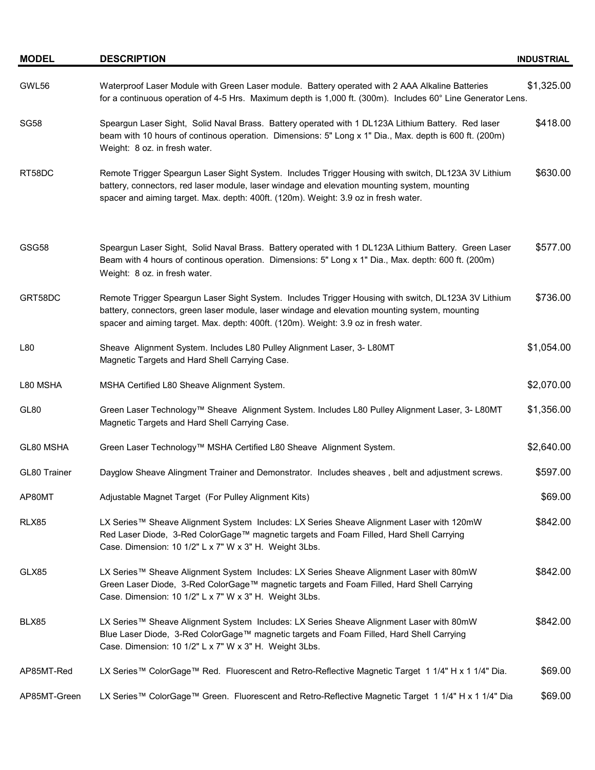| <b>MODEL</b> | <b>DESCRIPTION</b>                                                                                                                                                                                                                                                                           | <b>INDUSTRIAL</b> |
|--------------|----------------------------------------------------------------------------------------------------------------------------------------------------------------------------------------------------------------------------------------------------------------------------------------------|-------------------|
| GWL56        | Waterproof Laser Module with Green Laser module. Battery operated with 2 AAA Alkaline Batteries<br>for a continuous operation of 4-5 Hrs. Maximum depth is 1,000 ft. (300m). Includes 60° Line Generator Lens.                                                                               | \$1,325.00        |
| <b>SG58</b>  | Speargun Laser Sight, Solid Naval Brass. Battery operated with 1 DL123A Lithium Battery. Red laser<br>beam with 10 hours of continous operation. Dimensions: 5" Long x 1" Dia., Max. depth is 600 ft. (200m)<br>Weight: 8 oz. in fresh water.                                                | \$418.00          |
| RT58DC       | Remote Trigger Speargun Laser Sight System. Includes Trigger Housing with switch, DL123A 3V Lithium<br>battery, connectors, red laser module, laser windage and elevation mounting system, mounting<br>spacer and aiming target. Max. depth: 400ft. (120m). Weight: 3.9 oz in fresh water.   | \$630.00          |
| GSG58        | Speargun Laser Sight, Solid Naval Brass. Battery operated with 1 DL123A Lithium Battery. Green Laser<br>Beam with 4 hours of continous operation. Dimensions: 5" Long x 1" Dia., Max. depth: 600 ft. (200m)<br>Weight: 8 oz. in fresh water.                                                 | \$577.00          |
| GRT58DC      | Remote Trigger Speargun Laser Sight System. Includes Trigger Housing with switch, DL123A 3V Lithium<br>battery, connectors, green laser module, laser windage and elevation mounting system, mounting<br>spacer and aiming target. Max. depth: 400ft. (120m). Weight: 3.9 oz in fresh water. | \$736.00          |
| L80          | Sheave Alignment System. Includes L80 Pulley Alignment Laser, 3- L80MT<br>Magnetic Targets and Hard Shell Carrying Case.                                                                                                                                                                     | \$1,054.00        |
| L80 MSHA     | MSHA Certified L80 Sheave Alignment System.                                                                                                                                                                                                                                                  | \$2,070.00        |
| GL80         | Green Laser Technology™ Sheave Alignment System. Includes L80 Pulley Alignment Laser, 3- L80MT<br>Magnetic Targets and Hard Shell Carrying Case.                                                                                                                                             | \$1,356.00        |
| GL80 MSHA    | Green Laser Technology™ MSHA Certified L80 Sheave Alignment System.                                                                                                                                                                                                                          | \$2,640.00        |
| GL80 Trainer | Dayglow Sheave Alingment Trainer and Demonstrator. Includes sheaves, belt and adjustment screws.                                                                                                                                                                                             | \$597.00          |
| AP80MT       | Adjustable Magnet Target (For Pulley Alignment Kits)                                                                                                                                                                                                                                         | \$69.00           |
| <b>RLX85</b> | LX Series™ Sheave Alignment System Includes: LX Series Sheave Alignment Laser with 120mW<br>Red Laser Diode, 3-Red ColorGage™ magnetic targets and Foam Filled, Hard Shell Carrying<br>Case. Dimension: 10 1/2" L x 7" W x 3" H. Weight 3Lbs.                                                | \$842.00          |
| GLX85        | LX Series™ Sheave Alignment System Includes: LX Series Sheave Alignment Laser with 80mW<br>Green Laser Diode, 3-Red ColorGage™ magnetic targets and Foam Filled, Hard Shell Carrying<br>Case. Dimension: 10 1/2" L x 7" W x 3" H. Weight 3Lbs.                                               | \$842.00          |
| BLX85        | LX Series™ Sheave Alignment System Includes: LX Series Sheave Alignment Laser with 80mW<br>Blue Laser Diode, 3-Red ColorGage™ magnetic targets and Foam Filled, Hard Shell Carrying<br>Case. Dimension: 10 1/2" L x 7" W x 3" H. Weight 3Lbs.                                                | \$842.00          |
| AP85MT-Red   | LX Series™ ColorGage™ Red. Fluorescent and Retro-Reflective Magnetic Target 1 1/4" H x 1 1/4" Dia.                                                                                                                                                                                           | \$69.00           |
| AP85MT-Green | LX Series™ ColorGage™ Green. Fluorescent and Retro-Reflective Magnetic Target 1 1/4" H x 1 1/4" Dia                                                                                                                                                                                          | \$69.00           |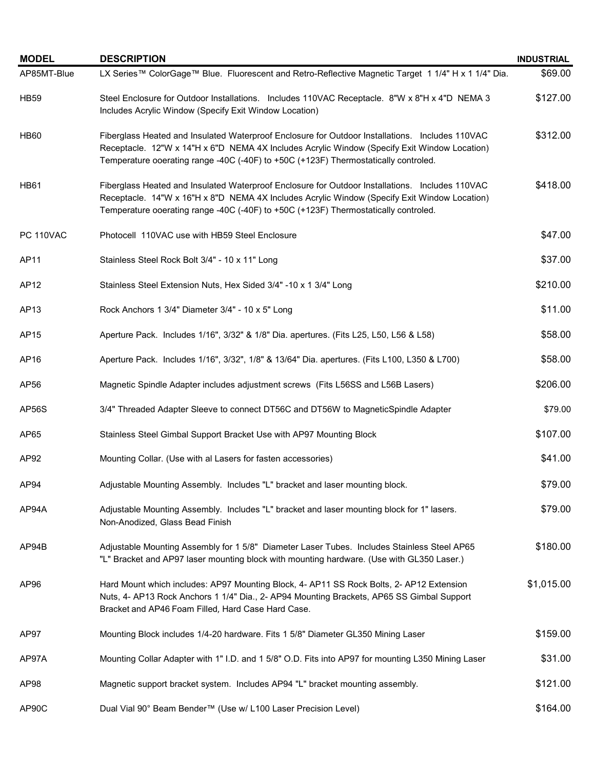| <b>MODEL</b>     | <b>DESCRIPTION</b>                                                                                                                                                                                                                                                                     | <b>INDUSTRIAL</b> |
|------------------|----------------------------------------------------------------------------------------------------------------------------------------------------------------------------------------------------------------------------------------------------------------------------------------|-------------------|
| AP85MT-Blue      | LX Series™ ColorGage™ Blue. Fluorescent and Retro-Reflective Magnetic Target 1 1/4" H x 1 1/4" Dia.                                                                                                                                                                                    | \$69.00           |
| <b>HB59</b>      | Steel Enclosure for Outdoor Installations. Includes 110VAC Receptacle. 8"W x 8"H x 4"D NEMA 3<br>Includes Acrylic Window (Specify Exit Window Location)                                                                                                                                | \$127.00          |
| <b>HB60</b>      | Fiberglass Heated and Insulated Waterproof Enclosure for Outdoor Installations. Includes 110VAC<br>Receptacle. 12"W x 14"H x 6"D NEMA 4X Includes Acrylic Window (Specify Exit Window Location)<br>Temperature ooerating range -40C (-40F) to +50C (+123F) Thermostatically controled. | \$312.00          |
| <b>HB61</b>      | Fiberglass Heated and Insulated Waterproof Enclosure for Outdoor Installations. Includes 110VAC<br>Receptacle. 14"W x 16"H x 8"D NEMA 4X Includes Acrylic Window (Specify Exit Window Location)<br>Temperature ooerating range -40C (-40F) to +50C (+123F) Thermostatically controled. | \$418.00          |
| <b>PC 110VAC</b> | Photocell 110VAC use with HB59 Steel Enclosure                                                                                                                                                                                                                                         | \$47.00           |
| AP11             | Stainless Steel Rock Bolt 3/4" - 10 x 11" Long                                                                                                                                                                                                                                         | \$37.00           |
| AP12             | Stainless Steel Extension Nuts, Hex Sided 3/4" -10 x 1 3/4" Long                                                                                                                                                                                                                       | \$210.00          |
| AP13             | Rock Anchors 1 3/4" Diameter 3/4" - 10 x 5" Long                                                                                                                                                                                                                                       | \$11.00           |
| AP15             | Aperture Pack. Includes 1/16", 3/32" & 1/8" Dia. apertures. (Fits L25, L50, L56 & L58)                                                                                                                                                                                                 | \$58.00           |
| AP16             | Aperture Pack. Includes 1/16", 3/32", 1/8" & 13/64" Dia. apertures. (Fits L100, L350 & L700)                                                                                                                                                                                           | \$58.00           |
| AP56             | Magnetic Spindle Adapter includes adjustment screws (Fits L56SS and L56B Lasers)                                                                                                                                                                                                       | \$206.00          |
| AP56S            | 3/4" Threaded Adapter Sleeve to connect DT56C and DT56W to MagneticSpindle Adapter                                                                                                                                                                                                     | \$79.00           |
| AP65             | Stainless Steel Gimbal Support Bracket Use with AP97 Mounting Block                                                                                                                                                                                                                    | \$107.00          |
| AP92             | Mounting Collar. (Use with al Lasers for fasten accessories)                                                                                                                                                                                                                           | \$41.00           |
| AP94             | Adjustable Mounting Assembly. Includes "L" bracket and laser mounting block.                                                                                                                                                                                                           | \$79.00           |
| AP94A            | Adjustable Mounting Assembly. Includes "L" bracket and laser mounting block for 1" lasers.<br>Non-Anodized, Glass Bead Finish                                                                                                                                                          | \$79.00           |
| AP94B            | Adjustable Mounting Assembly for 1 5/8" Diameter Laser Tubes. Includes Stainless Steel AP65<br>"L" Bracket and AP97 laser mounting block with mounting hardware. (Use with GL350 Laser.)                                                                                               | \$180.00          |
| AP96             | Hard Mount which includes: AP97 Mounting Block, 4- AP11 SS Rock Bolts, 2- AP12 Extension<br>Nuts, 4- AP13 Rock Anchors 1 1/4" Dia., 2- AP94 Mounting Brackets, AP65 SS Gimbal Support<br>Bracket and AP46 Foam Filled, Hard Case Hard Case.                                            | \$1,015.00        |
| AP97             | Mounting Block includes 1/4-20 hardware. Fits 1 5/8" Diameter GL350 Mining Laser                                                                                                                                                                                                       | \$159.00          |
| AP97A            | Mounting Collar Adapter with 1" I.D. and 1 5/8" O.D. Fits into AP97 for mounting L350 Mining Laser                                                                                                                                                                                     | \$31.00           |
| AP98             | Magnetic support bracket system. Includes AP94 "L" bracket mounting assembly.                                                                                                                                                                                                          | \$121.00          |
| AP90C            | Dual Vial 90° Beam Bender™ (Use w/ L100 Laser Precision Level)                                                                                                                                                                                                                         | \$164.00          |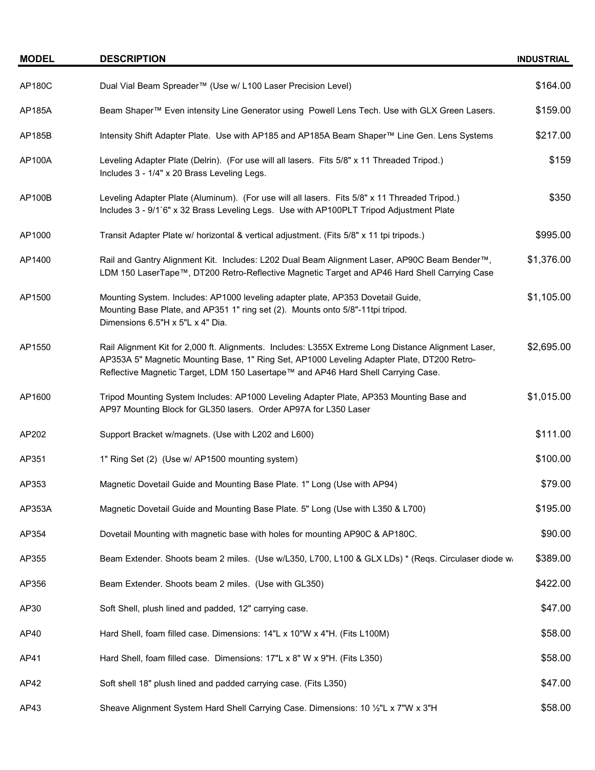| <b>MODEL</b>  | <b>DESCRIPTION</b>                                                                                                                                                                                                                                                                     | <b>INDUSTRIAL</b> |
|---------------|----------------------------------------------------------------------------------------------------------------------------------------------------------------------------------------------------------------------------------------------------------------------------------------|-------------------|
| <b>AP180C</b> | Dual Vial Beam Spreader™ (Use w/ L100 Laser Precision Level)                                                                                                                                                                                                                           | \$164.00          |
| AP185A        | Beam Shaper™ Even intensity Line Generator using Powell Lens Tech. Use with GLX Green Lasers.                                                                                                                                                                                          | \$159.00          |
| AP185B        | Intensity Shift Adapter Plate. Use with AP185 and AP185A Beam Shaper™ Line Gen. Lens Systems                                                                                                                                                                                           | \$217.00          |
| AP100A        | Leveling Adapter Plate (Delrin). (For use will all lasers. Fits 5/8" x 11 Threaded Tripod.)<br>Includes 3 - 1/4" x 20 Brass Leveling Legs.                                                                                                                                             | \$159             |
| AP100B        | Leveling Adapter Plate (Aluminum). (For use will all lasers. Fits 5/8" x 11 Threaded Tripod.)<br>Includes 3 - 9/1`6" x 32 Brass Leveling Legs. Use with AP100PLT Tripod Adjustment Plate                                                                                               | \$350             |
| AP1000        | Transit Adapter Plate w/ horizontal & vertical adjustment. (Fits 5/8" x 11 tpi tripods.)                                                                                                                                                                                               | \$995.00          |
| AP1400        | Rail and Gantry Alignment Kit. Includes: L202 Dual Beam Alignment Laser, AP90C Beam Bender™,<br>LDM 150 LaserTape™, DT200 Retro-Reflective Magnetic Target and AP46 Hard Shell Carrying Case                                                                                           | \$1,376.00        |
| AP1500        | Mounting System. Includes: AP1000 leveling adapter plate, AP353 Dovetail Guide,<br>Mounting Base Plate, and AP351 1" ring set (2). Mounts onto 5/8"-11tpi tripod.<br>Dimensions 6.5"H x 5"L x 4" Dia.                                                                                  | \$1,105.00        |
| AP1550        | Rail Alignment Kit for 2,000 ft. Alignments. Includes: L355X Extreme Long Distance Alignment Laser,<br>AP353A 5" Magnetic Mounting Base, 1" Ring Set, AP1000 Leveling Adapter Plate, DT200 Retro-<br>Reflective Magnetic Target, LDM 150 Lasertape™ and AP46 Hard Shell Carrying Case. | \$2,695.00        |
| AP1600        | Tripod Mounting System Includes: AP1000 Leveling Adapter Plate, AP353 Mounting Base and<br>AP97 Mounting Block for GL350 lasers. Order AP97A for L350 Laser                                                                                                                            | \$1,015.00        |
| AP202         | Support Bracket w/magnets. (Use with L202 and L600)                                                                                                                                                                                                                                    | \$111.00          |
| AP351         | 1" Ring Set (2) (Use w/ AP1500 mounting system)                                                                                                                                                                                                                                        | \$100.00          |
| AP353         | Magnetic Dovetail Guide and Mounting Base Plate. 1" Long (Use with AP94)                                                                                                                                                                                                               | \$79.00           |
| AP353A        | Magnetic Dovetail Guide and Mounting Base Plate. 5" Long (Use with L350 & L700)                                                                                                                                                                                                        | \$195.00          |
| AP354         | Dovetail Mounting with magnetic base with holes for mounting AP90C & AP180C.                                                                                                                                                                                                           | \$90.00           |
| AP355         | Beam Extender. Shoots beam 2 miles. (Use w/L350, L700, L100 & GLX LDs) * (Reqs. Circulaser diode w.                                                                                                                                                                                    | \$389.00          |
| AP356         | Beam Extender. Shoots beam 2 miles. (Use with GL350)                                                                                                                                                                                                                                   | \$422.00          |
| AP30          | Soft Shell, plush lined and padded, 12" carrying case.                                                                                                                                                                                                                                 | \$47.00           |
| AP40          | Hard Shell, foam filled case. Dimensions: 14"L x 10"W x 4"H. (Fits L100M)                                                                                                                                                                                                              | \$58.00           |
| AP41          | Hard Shell, foam filled case. Dimensions: 17"L x 8" W x 9"H. (Fits L350)                                                                                                                                                                                                               | \$58.00           |
| AP42          | Soft shell 18" plush lined and padded carrying case. (Fits L350)                                                                                                                                                                                                                       | \$47.00           |
| AP43          | Sheave Alignment System Hard Shell Carrying Case. Dimensions: 10 1/2"L x 7"W x 3"H                                                                                                                                                                                                     | \$58.00           |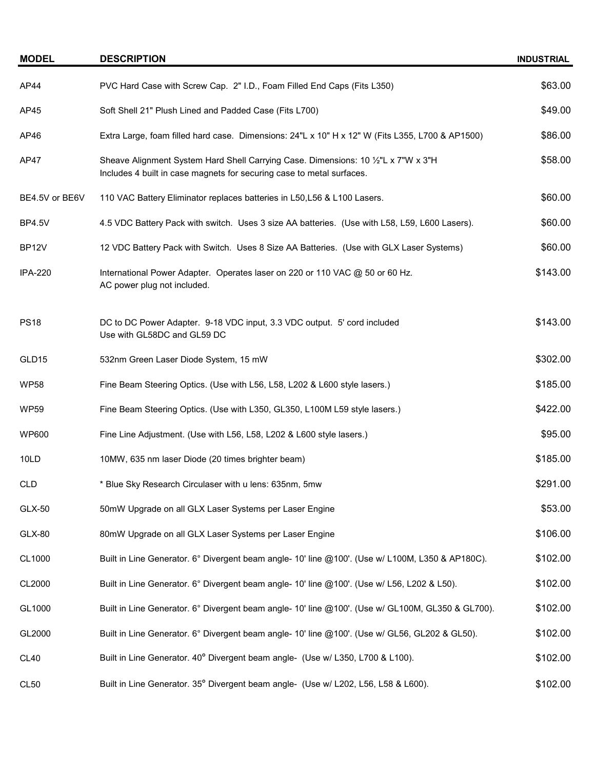| <b>MODEL</b>       | <b>DESCRIPTION</b>                                                                                                                                          | <b>INDUSTRIAL</b> |
|--------------------|-------------------------------------------------------------------------------------------------------------------------------------------------------------|-------------------|
| AP44               | PVC Hard Case with Screw Cap. 2" I.D., Foam Filled End Caps (Fits L350)                                                                                     | \$63.00           |
| AP45               | Soft Shell 21" Plush Lined and Padded Case (Fits L700)                                                                                                      | \$49.00           |
| AP46               | Extra Large, foam filled hard case. Dimensions: 24"L x 10" H x 12" W (Fits L355, L700 & AP1500)                                                             | \$86.00           |
| AP47               | Sheave Alignment System Hard Shell Carrying Case. Dimensions: 10 1/2"L x 7"W x 3"H<br>Includes 4 built in case magnets for securing case to metal surfaces. | \$58.00           |
| BE4.5V or BE6V     | 110 VAC Battery Eliminator replaces batteries in L50, L56 & L100 Lasers.                                                                                    | \$60.00           |
| <b>BP4.5V</b>      | 4.5 VDC Battery Pack with switch. Uses 3 size AA batteries. (Use with L58, L59, L600 Lasers).                                                               | \$60.00           |
| BP <sub>12</sub> V | 12 VDC Battery Pack with Switch. Uses 8 Size AA Batteries. (Use with GLX Laser Systems)                                                                     | \$60.00           |
| <b>IPA-220</b>     | International Power Adapter. Operates laser on 220 or 110 VAC @ 50 or 60 Hz.<br>AC power plug not included.                                                 | \$143.00          |
| <b>PS18</b>        | DC to DC Power Adapter. 9-18 VDC input, 3.3 VDC output. 5' cord included<br>Use with GL58DC and GL59 DC                                                     | \$143.00          |
| GLD15              | 532nm Green Laser Diode System, 15 mW                                                                                                                       | \$302.00          |
| <b>WP58</b>        | Fine Beam Steering Optics. (Use with L56, L58, L202 & L600 style lasers.)                                                                                   | \$185.00          |
| <b>WP59</b>        | Fine Beam Steering Optics. (Use with L350, GL350, L100M L59 style lasers.)                                                                                  | \$422.00          |
| <b>WP600</b>       | Fine Line Adjustment. (Use with L56, L58, L202 & L600 style lasers.)                                                                                        | \$95.00           |
| 10LD               | 10MW, 635 nm laser Diode (20 times brighter beam)                                                                                                           | \$185.00          |
| <b>CLD</b>         | * Blue Sky Research Circulaser with u lens: 635nm, 5mw                                                                                                      | \$291.00          |
| <b>GLX-50</b>      | 50mW Upgrade on all GLX Laser Systems per Laser Engine                                                                                                      | \$53.00           |
| <b>GLX-80</b>      | 80mW Upgrade on all GLX Laser Systems per Laser Engine                                                                                                      | \$106.00          |
| CL1000             | Built in Line Generator. 6° Divergent beam angle- 10' line @100'. (Use w/ L100M, L350 & AP180C).                                                            | \$102.00          |
| CL2000             | Built in Line Generator. 6° Divergent beam angle- 10' line @100'. (Use w/ L56, L202 & L50).                                                                 | \$102.00          |
| GL1000             | Built in Line Generator. 6° Divergent beam angle- 10' line @100'. (Use w/ GL100M, GL350 & GL700).                                                           | \$102.00          |
| GL2000             | Built in Line Generator. 6° Divergent beam angle- 10' line @100'. (Use w/ GL56, GL202 & GL50).                                                              | \$102.00          |
| <b>CL40</b>        | Built in Line Generator. 40° Divergent beam angle- (Use w/ L350, L700 & L100).                                                                              | \$102.00          |
| CL <sub>50</sub>   | Built in Line Generator. 35° Divergent beam angle- (Use w/ L202, L56, L58 & L600).                                                                          | \$102.00          |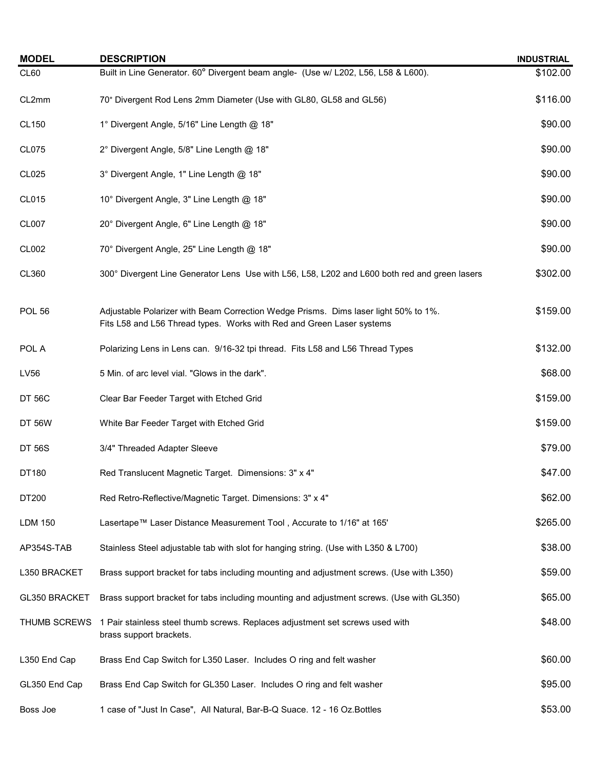| <b>MODEL</b>   | <b>DESCRIPTION</b>                                                                                                                                           | <b>INDUSTRIAL</b> |  |  |  |
|----------------|--------------------------------------------------------------------------------------------------------------------------------------------------------------|-------------------|--|--|--|
| CL60           | Built in Line Generator. 60° Divergent beam angle- (Use w/ L202, L56, L58 & L600).                                                                           |                   |  |  |  |
| CL2mm          | 70° Divergent Rod Lens 2mm Diameter (Use with GL80, GL58 and GL56)                                                                                           |                   |  |  |  |
| CL150          | 1° Divergent Angle, 5/16" Line Length @ 18"                                                                                                                  | \$90.00           |  |  |  |
| CL075          | 2° Divergent Angle, 5/8" Line Length @ 18"                                                                                                                   | \$90.00           |  |  |  |
| CL025          | 3° Divergent Angle, 1" Line Length @ 18"                                                                                                                     | \$90.00           |  |  |  |
| CL015          | 10° Divergent Angle, 3" Line Length @ 18"                                                                                                                    | \$90.00           |  |  |  |
| CL007          | 20° Divergent Angle, 6" Line Length @ 18"                                                                                                                    | \$90.00           |  |  |  |
| CL002          | 70° Divergent Angle, 25" Line Length @ 18"                                                                                                                   | \$90.00           |  |  |  |
| CL360          | 300° Divergent Line Generator Lens Use with L56, L58, L202 and L600 both red and green lasers                                                                | \$302.00          |  |  |  |
| <b>POL 56</b>  | Adjustable Polarizer with Beam Correction Wedge Prisms. Dims laser light 50% to 1%.<br>Fits L58 and L56 Thread types. Works with Red and Green Laser systems | \$159.00          |  |  |  |
| POL A          | Polarizing Lens in Lens can. 9/16-32 tpi thread. Fits L58 and L56 Thread Types                                                                               | \$132.00          |  |  |  |
| LV56           | 5 Min. of arc level vial. "Glows in the dark".                                                                                                               | \$68.00           |  |  |  |
| <b>DT 56C</b>  | Clear Bar Feeder Target with Etched Grid                                                                                                                     | \$159.00          |  |  |  |
| <b>DT 56W</b>  | White Bar Feeder Target with Etched Grid                                                                                                                     | \$159.00          |  |  |  |
| <b>DT 56S</b>  | 3/4" Threaded Adapter Sleeve                                                                                                                                 | \$79.00           |  |  |  |
| DT180          | Red Translucent Magnetic Target. Dimensions: 3" x 4"                                                                                                         | \$47.00           |  |  |  |
| DT200          | Red Retro-Reflective/Magnetic Target. Dimensions: 3" x 4"                                                                                                    | \$62.00           |  |  |  |
| <b>LDM 150</b> | Lasertape™ Laser Distance Measurement Tool, Accurate to 1/16" at 165'                                                                                        | \$265.00          |  |  |  |
| AP354S-TAB     | Stainless Steel adjustable tab with slot for hanging string. (Use with L350 & L700)                                                                          | \$38.00           |  |  |  |
| L350 BRACKET   | Brass support bracket for tabs including mounting and adjustment screws. (Use with L350)                                                                     | \$59.00           |  |  |  |
| GL350 BRACKET  | Brass support bracket for tabs including mounting and adjustment screws. (Use with GL350)                                                                    | \$65.00           |  |  |  |
| THUMB SCREWS   | 1 Pair stainless steel thumb screws. Replaces adjustment set screws used with<br>brass support brackets.                                                     | \$48.00           |  |  |  |
| L350 End Cap   | Brass End Cap Switch for L350 Laser. Includes O ring and felt washer                                                                                         | \$60.00           |  |  |  |
| GL350 End Cap  | Brass End Cap Switch for GL350 Laser. Includes O ring and felt washer                                                                                        | \$95.00           |  |  |  |
| Boss Joe       | 1 case of "Just In Case", All Natural, Bar-B-Q Suace. 12 - 16 Oz. Bottles                                                                                    | \$53.00           |  |  |  |